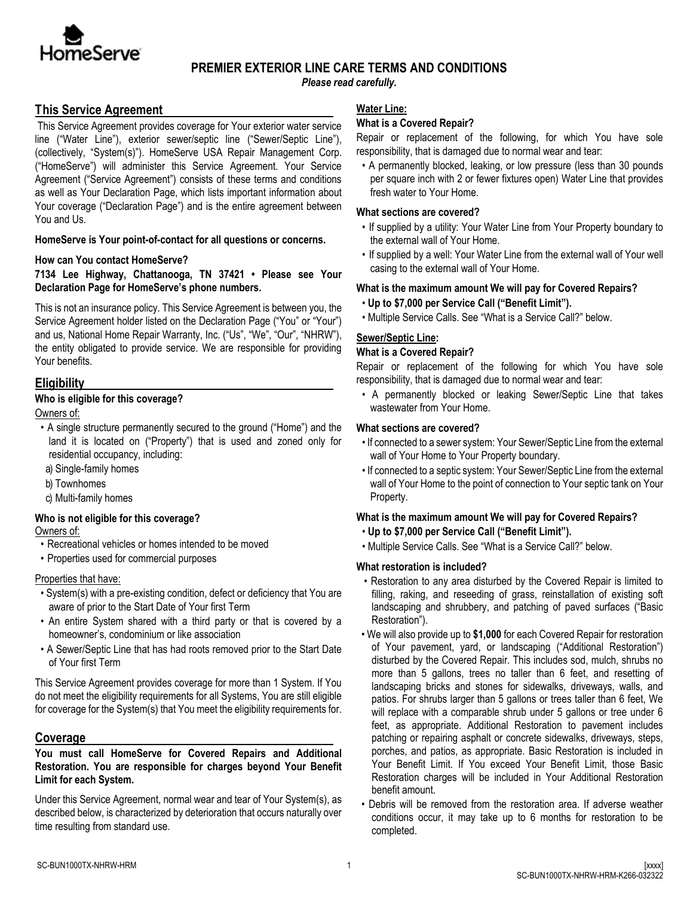

# **PREMIER EXTERIOR LINE CARE TERMS AND CONDITIONS**

*Please read carefully.*

# **This Service Agreement**

This Service Agreement provides coverage for Your exterior water service line ("Water Line"), exterior sewer/septic line ("Sewer/Septic Line"), (collectively, "System(s)"). HomeServe USA Repair Management Corp. ("HomeServe") will administer this Service Agreement. Your Service Agreement ("Service Agreement") consists of these terms and conditions as well as Your Declaration Page, which lists important information about Your coverage ("Declaration Page") and is the entire agreement between You and Us.

**HomeServe is Your point-of-contact for all questions or concerns.**

#### **How can You contact HomeServe?**

**7134 Lee Highway, Chattanooga, TN 37421 • Please see Your Declaration Page for HomeServe's phone numbers.** 

This is not an insurance policy. This Service Agreement is between you, the Service Agreement holder listed on the Declaration Page ("You" or "Your") and us, National Home Repair Warranty, Inc. ("Us", "We", "Our", "NHRW"), the entity obligated to provide service. We are responsible for providing Your benefits.

# **Eligibility**

### **Who is eligible for this coverage?**

Owners of:

- A single structure permanently secured to the ground ("Home") and the land it is located on ("Property") that is used and zoned only for residential occupancy, including:
- a) Single-family homes
- b) Townhomes
- c) Multi-family homes

# **Who is not eligible for this coverage?**

Owners of:

- Recreational vehicles or homes intended to be moved
- Properties used for commercial purposes

### Properties that have:

- System(s) with a pre-existing condition, defect or deficiency that You are aware of prior to the Start Date of Your first Term
- An entire System shared with a third party or that is covered by a homeowner's, condominium or like association
- A Sewer/Septic Line that has had roots removed prior to the Start Date of Your first Term

This Service Agreement provides coverage for more than 1 System. If You do not meet the eligibility requirements for all Systems, You are still eligible for coverage for the System(s) that You meet the eligibility requirements for.

# **Coverage**

#### **You must call HomeServe for Covered Repairs and Additional Restoration. You are responsible for charges beyond Your Benefit Limit for each System.**

Under this Service Agreement, normal wear and tear of Your System(s), as described below, is characterized by deterioration that occurs naturally over time resulting from standard use.

### **Water Line:**

# **What is a Covered Repair?**

Repair or replacement of the following, for which You have sole responsibility, that is damaged due to normal wear and tear:

• A permanently blocked, leaking, or low pressure (less than 30 pounds per square inch with 2 or fewer fixtures open) Water Line that provides fresh water to Your Home.

### **What sections are covered?**

- If supplied by a utility: Your Water Line from Your Property boundary to the external wall of Your Home.
- If supplied by a well: Your Water Line from the external wall of Your well casing to the external wall of Your Home.

### **What is the maximum amount We will pay for Covered Repairs?**

- **Up to \$7,000 per Service Call ("Benefit Limit").**
- Multiple Service Calls. See "What is a Service Call?" below.

### **Sewer/Septic Line:**

### **What is a Covered Repair?**

Repair or replacement of the following for which You have sole responsibility, that is damaged due to normal wear and tear:

• A permanently blocked or leaking Sewer/Septic Line that takes wastewater from Your Home.

### **What sections are covered?**

- If connected to a sewer system: Your Sewer/Septic Line from the external wall of Your Home to Your Property boundary.
- If connected to a septic system: Your Sewer/Septic Line from the external wall of Your Home to the point of connection to Your septic tank on Your Property.

### **What is the maximum amount We will pay for Covered Repairs?**

- **Up to \$7,000 per Service Call ("Benefit Limit").**
- Multiple Service Calls. See "What is a Service Call?" below.

### **What restoration is included?**

- Restoration to any area disturbed by the Covered Repair is limited to filling, raking, and reseeding of grass, reinstallation of existing soft landscaping and shrubbery, and patching of paved surfaces ("Basic Restoration").
- We will also provide up to **\$1,000** for each Covered Repair for restoration of Your pavement, yard, or landscaping ("Additional Restoration") disturbed by the Covered Repair. This includes sod, mulch, shrubs no more than 5 gallons, trees no taller than 6 feet, and resetting of landscaping bricks and stones for sidewalks, driveways, walls, and patios. For shrubs larger than 5 gallons or trees taller than 6 feet, We will replace with a comparable shrub under 5 gallons or tree under 6 feet, as appropriate. Additional Restoration to pavement includes patching or repairing asphalt or concrete sidewalks, driveways, steps, porches, and patios, as appropriate. Basic Restoration is included in Your Benefit Limit. If You exceed Your Benefit Limit, those Basic Restoration charges will be included in Your Additional Restoration benefit amount.
- Debris will be removed from the restoration area. If adverse weather conditions occur, it may take up to 6 months for restoration to be completed.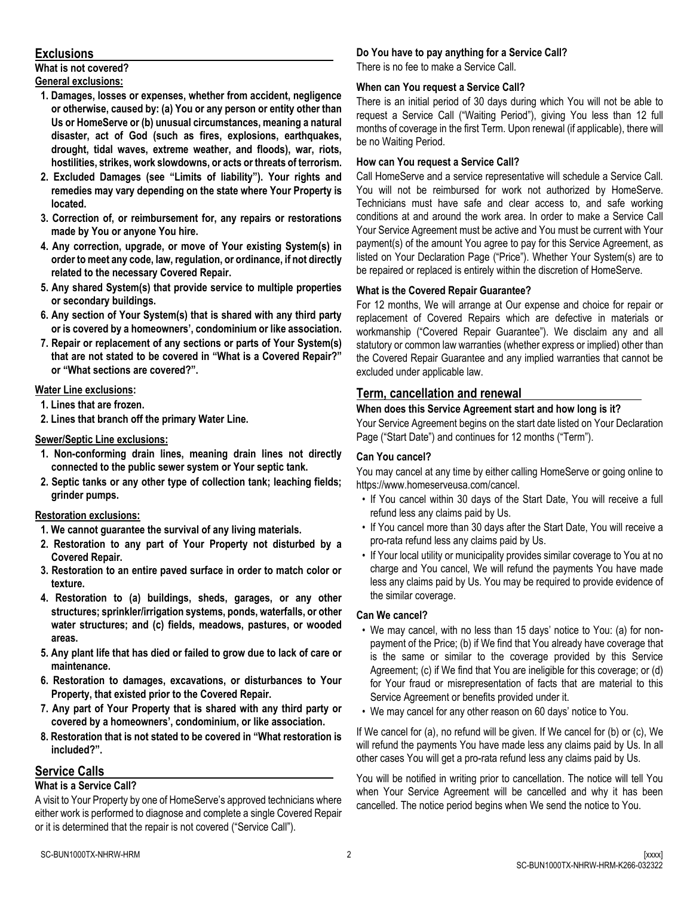# **Exclusions**

**What is not covered? General exclusions:**

- **1. Damages, losses or expenses, whether from accident, negligence or otherwise, caused by: (a) You or any person or entity other than Us or HomeServe or (b) unusual circumstances, meaning a natural disaster, act of God (such as fires, explosions, earthquakes, drought, tidal waves, extreme weather, and floods), war, riots, hostilities, strikes, work slowdowns, or acts or threats of terrorism.**
- **2. Excluded Damages (see "Limits of liability"). Your rights and remedies may vary depending on the state where Your Property is located.**
- **3. Correction of, or reimbursement for, any repairs or restorations made by You or anyone You hire.**
- **4. Any correction, upgrade, or move of Your existing System(s) in order to meet any code, law, regulation, or ordinance, if not directly related to the necessary Covered Repair.**
- **5. Any shared System(s) that provide service to multiple properties or secondary buildings.**
- **6. Any section of Your System(s) that is shared with any third party or is covered by a homeowners', condominium or like association.**
- **7. Repair or replacement of any sections or parts of Your System(s) that are not stated to be covered in "What is a Covered Repair?" or "What sections are covered?".**

### **Water Line exclusions:**

- **1. Lines that are frozen.**
- **2. Lines that branch off the primary Water Line.**

### **Sewer/Septic Line exclusions:**

- **1. Non-conforming drain lines, meaning drain lines not directly connected to the public sewer system or Your septic tank.**
- **2. Septic tanks or any other type of collection tank; leaching fields; grinder pumps.**

#### **Restoration exclusions:**

- **1. We cannot guarantee the survival of any living materials.**
- **2. Restoration to any part of Your Property not disturbed by a Covered Repair.**
- **3. Restoration to an entire paved surface in order to match color or texture.**
- **4. Restoration to (a) buildings, sheds, garages, or any other structures; sprinkler/irrigation systems, ponds, waterfalls, or other water structures; and (c) fields, meadows, pastures, or wooded areas.**
- **5. Any plant life that has died or failed to grow due to lack of care or maintenance.**
- **6. Restoration to damages, excavations, or disturbances to Your Property, that existed prior to the Covered Repair.**
- **7. Any part of Your Property that is shared with any third party or covered by a homeowners', condominium, or like association.**
- **8. Restoration that is not stated to be covered in "What restoration is included?".**

# **Service Calls**

### **What is a Service Call?**

A visit to Your Property by one of HomeServe's approved technicians where either work is performed to diagnose and complete a single Covered Repair or it is determined that the repair is not covered ("Service Call").

### **Do You have to pay anything for a Service Call?**

There is no fee to make a Service Call.

### **When can You request a Service Call?**

There is an initial period of 30 days during which You will not be able to request a Service Call ("Waiting Period"), giving You less than 12 full months of coverage in the first Term. Upon renewal (if applicable), there will be no Waiting Period.

### **How can You request a Service Call?**

Call HomeServe and a service representative will schedule a Service Call. You will not be reimbursed for work not authorized by HomeServe. Technicians must have safe and clear access to, and safe working conditions at and around the work area. In order to make a Service Call Your Service Agreement must be active and You must be current with Your payment(s) of the amount You agree to pay for this Service Agreement, as listed on Your Declaration Page ("Price"). Whether Your System(s) are to be repaired or replaced is entirely within the discretion of HomeServe.

### **What is the Covered Repair Guarantee?**

For 12 months, We will arrange at Our expense and choice for repair or replacement of Covered Repairs which are defective in materials or workmanship ("Covered Repair Guarantee"). We disclaim any and all statutory or common law warranties (whether express or implied) other than the Covered Repair Guarantee and any implied warranties that cannot be excluded under applicable law.

# **Term, cancellation and renewal**

### **When does this Service Agreement start and how long is it?**

Your Service Agreement begins on the start date listed on Your Declaration Page ("Start Date") and continues for 12 months ("Term").

### **Can You cancel?**

You may cancel at any time by either calling HomeServe or going online to https://www.homeserveusa.com/cancel.

- If You cancel within 30 days of the Start Date, You will receive a full refund less any claims paid by Us.
- If You cancel more than 30 days after the Start Date, You will receive a pro-rata refund less any claims paid by Us.
- If Your local utility or municipality provides similar coverage to You at no charge and You cancel, We will refund the payments You have made less any claims paid by Us. You may be required to provide evidence of the similar coverage.

#### **Can We cancel?**

- We may cancel, with no less than 15 days' notice to You: (a) for nonpayment of the Price; (b) if We find that You already have coverage that is the same or similar to the coverage provided by this Service Agreement; (c) if We find that You are ineligible for this coverage; or (d) for Your fraud or misrepresentation of facts that are material to this Service Agreement or benefits provided under it.
- We may cancel for any other reason on 60 days' notice to You.

If We cancel for (a), no refund will be given. If We cancel for (b) or (c), We will refund the payments You have made less any claims paid by Us. In all other cases You will get a pro-rata refund less any claims paid by Us.

You will be notified in writing prior to cancellation. The notice will tell You when Your Service Agreement will be cancelled and why it has been cancelled. The notice period begins when We send the notice to You.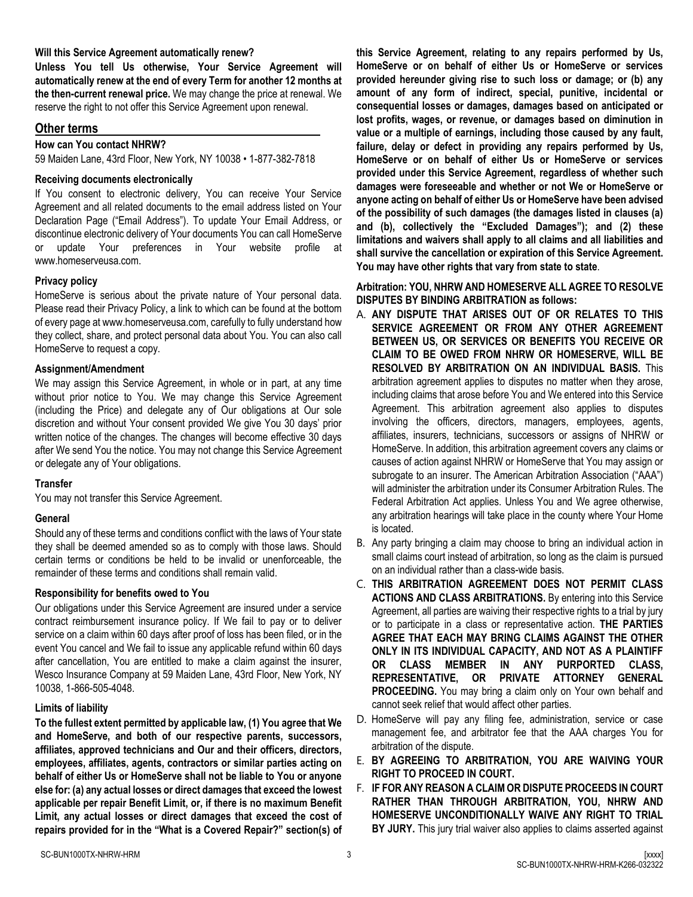#### **Will this Service Agreement automatically renew?**

**Unless You tell Us otherwise, Your Service Agreement will automatically renew at the end of every Term for another 12 months at the then-current renewal price.** We may change the price at renewal. We reserve the right to not offer this Service Agreement upon renewal.

#### **Other terms**

#### **How can You contact NHRW?**

59 Maiden Lane, 43rd Floor, New York, NY 10038 • 1-877-382-7818

#### **Receiving documents electronically**

If You consent to electronic delivery, You can receive Your Service Agreement and all related documents to the email address listed on Your Declaration Page ("Email Address"). To update Your Email Address, or discontinue electronic delivery of Your documents You can call HomeServe or update Your preferences in Your website profile at www.homeserveusa.com.

#### **Privacy policy**

HomeServe is serious about the private nature of Your personal data. Please read their Privacy Policy, a link to which can be found at the bottom of every page at www.homeserveusa.com, carefully to fully understand how they collect, share, and protect personal data about You. You can also call HomeServe to request a copy.

#### **Assignment/Amendment**

We may assign this Service Agreement, in whole or in part, at any time without prior notice to You. We may change this Service Agreement (including the Price) and delegate any of Our obligations at Our sole discretion and without Your consent provided We give You 30 days' prior written notice of the changes. The changes will become effective 30 days after We send You the notice. You may not change this Service Agreement or delegate any of Your obligations.

#### **Transfer**

You may not transfer this Service Agreement.

#### **General**

Should any of these terms and conditions conflict with the laws of Your state they shall be deemed amended so as to comply with those laws. Should certain terms or conditions be held to be invalid or unenforceable, the remainder of these terms and conditions shall remain valid.

#### **Responsibility for benefits owed to You**

Our obligations under this Service Agreement are insured under a service contract reimbursement insurance policy. If We fail to pay or to deliver service on a claim within 60 days after proof of loss has been filed, or in the event You cancel and We fail to issue any applicable refund within 60 days after cancellation, You are entitled to make a claim against the insurer, Wesco Insurance Company at 59 Maiden Lane, 43rd Floor, New York, NY 10038, 1-866-505-4048.

#### **Limits of liability**

**To the fullest extent permitted by applicable law, (1) You agree that We and HomeServe, and both of our respective parents, successors, affiliates, approved technicians and Our and their officers, directors, employees, affiliates, agents, contractors or similar parties acting on behalf of either Us or HomeServe shall not be liable to You or anyone else for: (a) any actual losses or direct damages that exceed the lowest applicable per repair Benefit Limit, or, if there is no maximum Benefit Limit, any actual losses or direct damages that exceed the cost of repairs provided for in the "What is a Covered Repair?" section(s) of**  **this Service Agreement, relating to any repairs performed by Us, HomeServe or on behalf of either Us or HomeServe or services provided hereunder giving rise to such loss or damage; or (b) any amount of any form of indirect, special, punitive, incidental or consequential losses or damages, damages based on anticipated or lost profits, wages, or revenue, or damages based on diminution in value or a multiple of earnings, including those caused by any fault, failure, delay or defect in providing any repairs performed by Us, HomeServe or on behalf of either Us or HomeServe or services provided under this Service Agreement, regardless of whether such damages were foreseeable and whether or not We or HomeServe or anyone acting on behalf of either Us or HomeServe have been advised of the possibility of such damages (the damages listed in clauses (a) and (b), collectively the "Excluded Damages"); and (2) these limitations and waivers shall apply to all claims and all liabilities and shall survive the cancellation or expiration of this Service Agreement. You may have other rights that vary from state to state**.

**Arbitration: YOU, NHRW AND HOMESERVE ALL AGREE TO RESOLVE DISPUTES BY BINDING ARBITRATION as follows:** 

- A. **ANY DISPUTE THAT ARISES OUT OF OR RELATES TO THIS SERVICE AGREEMENT OR FROM ANY OTHER AGREEMENT BETWEEN US, OR SERVICES OR BENEFITS YOU RECEIVE OR CLAIM TO BE OWED FROM NHRW OR HOMESERVE, WILL BE RESOLVED BY ARBITRATION ON AN INDIVIDUAL BASIS.** This arbitration agreement applies to disputes no matter when they arose, including claims that arose before You and We entered into this Service Agreement. This arbitration agreement also applies to disputes involving the officers, directors, managers, employees, agents, affiliates, insurers, technicians, successors or assigns of NHRW or HomeServe. In addition, this arbitration agreement covers any claims or causes of action against NHRW or HomeServe that You may assign or subrogate to an insurer. The American Arbitration Association ("AAA") will administer the arbitration under its Consumer Arbitration Rules. The Federal Arbitration Act applies. Unless You and We agree otherwise, any arbitration hearings will take place in the county where Your Home is located.
- B. Any party bringing a claim may choose to bring an individual action in small claims court instead of arbitration, so long as the claim is pursued on an individual rather than a class-wide basis.
- C. **THIS ARBITRATION AGREEMENT DOES NOT PERMIT CLASS ACTIONS AND CLASS ARBITRATIONS.** By entering into this Service Agreement, all parties are waiving their respective rights to a trial by jury or to participate in a class or representative action. **THE PARTIES AGREE THAT EACH MAY BRING CLAIMS AGAINST THE OTHER ONLY IN ITS INDIVIDUAL CAPACITY, AND NOT AS A PLAINTIFF OR CLASS MEMBER IN ANY PURPORTED CLASS, REPRESENTATIVE, OR PRIVATE ATTORNEY GENERAL PROCEEDING.** You may bring a claim only on Your own behalf and cannot seek relief that would affect other parties.
- D. HomeServe will pay any filing fee, administration, service or case management fee, and arbitrator fee that the AAA charges You for arbitration of the dispute.
- E. **BY AGREEING TO ARBITRATION, YOU ARE WAIVING YOUR RIGHT TO PROCEED IN COURT.**
- F. **IF FOR ANY REASON A CLAIM OR DISPUTE PROCEEDS IN COURT RATHER THAN THROUGH ARBITRATION, YOU, NHRW AND HOMESERVE UNCONDITIONALLY WAIVE ANY RIGHT TO TRIAL BY JURY.** This jury trial waiver also applies to claims asserted against